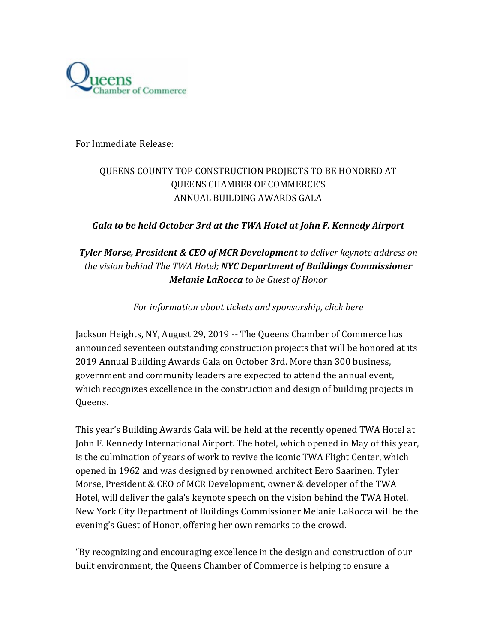

For Immediate Release:

# QUEENS COUNTY TOP CONSTRUCTION PROJECTS TO BE HONORED AT QUEENS CHAMBER OF COMMERCE'S ANNUAL BUILDING AWARDS GALA

### *Gala to be held October 3rd at the TWA Hotel at John F. Kennedy Airport*

# *Tyler Morse, President & CEO of MCR Development to deliver keynote address on the vision behind The TWA Hotel; NYC Department of Buildings Commissioner Melanie LaRocca to be Guest of Honor*

*For information about tickets and sponsorship, click [here](https://queenschamber.eventbank.com/track/redirect?type=campaign&lid=1&tracking_id=%5btrackingId%5d&redirect_url=https%3A%2F%2Fqueenschamber.eventbank.com%2Fevent%2F2019-building-awards-gala-15031%2F)*

Jackson Heights, NY, August 29, 2019 -- The Queens Chamber of Commerce has announced seventeen outstanding construction projects that will be honored at its 2019 Annual Building Awards Gala on October 3rd. More than 300 business, government and community leaders are expected to attend the annual event, which recognizes excellence in the construction and design of building projects in Queens.

This year's Building Awards Gala will be held at the recently opened TWA Hotel at John F. Kennedy International Airport. The hotel, which opened in May of this year, is the culmination of years of work to revive the iconic TWA Flight Center, which opened in 1962 and was designed by renowned architect Eero Saarinen. Tyler Morse, President & CEO of MCR Development, owner & developer of the TWA Hotel, will deliver the gala's keynote speech on the vision behind the TWA Hotel. New York City Department of Buildings Commissioner Melanie LaRocca will be the evening's Guest of Honor, offering her own remarks to the crowd.

"By recognizing and encouraging excellence in the design and construction of our built environment, the Queens Chamber of Commerce is helping to ensure a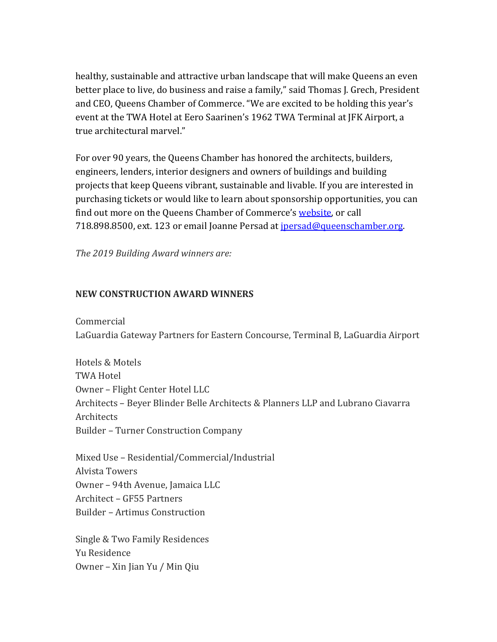healthy, sustainable and attractive urban landscape that will make Queens an even better place to live, do business and raise a family," said Thomas J. Grech, President and CEO, Queens Chamber of Commerce. "We are excited to be holding this year's event at the TWA Hotel at Eero Saarinen's 1962 TWA Terminal at JFK Airport, a true architectural marvel."

For over 90 years, the Queens Chamber has honored the architects, builders, engineers, lenders, interior designers and owners of buildings and building projects that keep Queens vibrant, sustainable and livable. If you are interested in purchasing tickets or would like to learn about sponsorship opportunities, you can find out more on the Queens Chamber of Commerce's [website,](https://queenschamber.eventbank.com/track/redirect?type=campaign&lid=2&tracking_id=%5btrackingId%5d&redirect_url=https%3A%2F%2Fqueenschamber.eventbank.com%2Fevent%2F2019-building-awards-gala-15031%2F) or call 718.898.8500, ext. 123 or email Joanne Persad at *jpersad@queenschamber.org*.

*The 2019 Building Award winners are:* 

#### **NEW CONSTRUCTION AWARD WINNERS**

Commercial LaGuardia Gateway Partners for Eastern Concourse, Terminal B, LaGuardia Airport

Hotels & Motels TWA Hotel Owner – Flight Center Hotel LLC Architects – Beyer Blinder Belle Architects & Planners LLP and Lubrano Ciavarra Architects Builder – Turner Construction Company

Mixed Use – Residential/Commercial/Industrial Alvista Towers Owner – 94th Avenue, Jamaica LLC Architect – GF55 Partners Builder – Artimus Construction

Single & Two Family Residences Yu Residence Owner – Xin Jian Yu / Min Qiu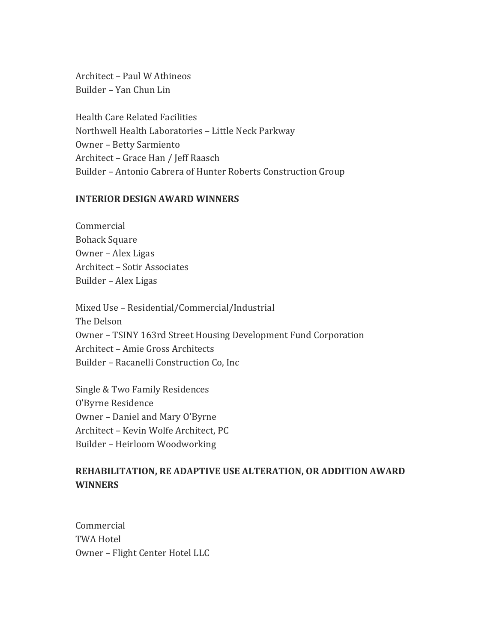Architect – Paul W Athineos Builder – Yan Chun Lin

Health Care Related Facilities Northwell Health Laboratories – Little Neck Parkway Owner – Betty Sarmiento Architect – Grace Han / Jeff Raasch Builder – Antonio Cabrera of Hunter Roberts Construction Group

#### **INTERIOR DESIGN AWARD WINNERS**

Commercial Bohack Square Owner – Alex Ligas Architect – Sotir Associates Builder – Alex Ligas

Mixed Use – Residential/Commercial/Industrial The Delson Owner – TSINY 163rd Street Housing Development Fund Corporation Architect – Amie Gross Architects Builder – Racanelli Construction Co, Inc

Single & Two Family Residences O'Byrne Residence Owner – Daniel and Mary O'Byrne Architect – Kevin Wolfe Architect, PC Builder – Heirloom Woodworking

### **REHABILITATION, RE ADAPTIVE USE ALTERATION, OR ADDITION AWARD WINNERS**

Commercial TWA Hotel Owner – Flight Center Hotel LLC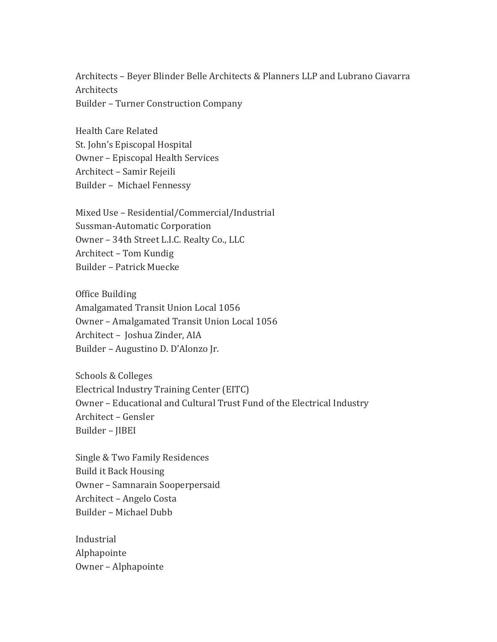Architects – Beyer Blinder Belle Architects & Planners LLP and Lubrano Ciavarra Architects Builder – Turner Construction Company

Health Care Related St. John's Episcopal Hospital Owner – Episcopal Health Services Architect – Samir Rejeili Builder – Michael Fennessy

Mixed Use – Residential/Commercial/Industrial Sussman-Automatic Corporation Owner – 34th Street L.I.C. Realty Co., LLC Architect – Tom Kundig Builder – Patrick Muecke

Office Building Amalgamated Transit Union Local 1056 Owner – Amalgamated Transit Union Local 1056 Architect – Joshua Zinder, AIA Builder – Augustino D. D'Alonzo Jr.

Schools & Colleges Electrical Industry Training Center (EITC) Owner – Educational and Cultural Trust Fund of the Electrical Industry Architect – Gensler Builder – JIBEI

Single & Two Family Residences Build it Back Housing Owner – Samnarain Sooperpersaid Architect – Angelo Costa Builder – Michael Dubb

Industrial Alphapointe Owner – Alphapointe